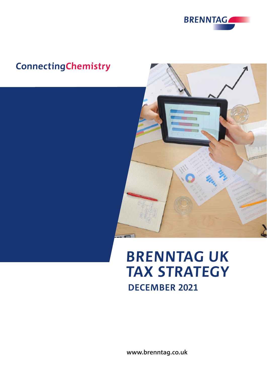

# **ConnectingChemistry**



# **BRENNTAG UK TAX STRATEGY DECEMBER 2021**

**www.brenntag.co.uk**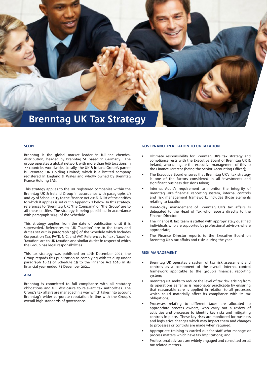

#### **SCOPE**

Brenntag is the global market leader in full-line chemical distribution, headed by Brenntag SE based in Germany. The group operates a global network with more than 640 locations in 77 countries worldwide. Locally, the UK & Ireland Group's parent is Brenntag UK Holding Limited; which is a limited company registered in England & Wales and wholly owned by Brenntag France Holding SAS.

This strategy applies to the UK registered companies within the Brenntag UK & Ireland Group in accordance with paragraphs 19 and 25 of Schedule 19 to the Finance Act 2016. A list of the entities to which it applies is set out in Appendix 1 below. In this strategy, references to 'Brenntag UK', 'the Company' or 'the Group' are to all these entities. The strategy is being published in accordance with paragraph 16(4) of the Schedule.

This strategy applies from the date of publication until it is superseded. References to 'UK Taxation' are to the taxes and duties set out in paragraph 15(1) of the Schedule which includes Corporation Tax, PAYE, NIC, and VAT. References to 'tax', 'taxes' or 'taxation' are to UK taxation and similar duties in respect of which the Group has legal responsibilities.

This tax strategy was published on 17th December 2021, the Group regards this publication as complying with its duty under paragraph 16(2) of Schedule 19 to the Finance Act 2016 in its financial year ended 31 December 2021.

#### **AIM**

Brenntag is committed to full compliance with all statutory obligations and full disclosure to relevant tax authorities. The Group's tax affairs are managed in a way which takes into account Brenntag's wider corporate reputation in line with the Group's overall high standards of governance.

#### **GOVERNANCE IN RELATION TO UK TAXATION**

- Ultimate responsibility for Brenntag UK's tax strategy and compliance rests with the Executive Board of Brenntag UK & Ireland, who delegate the executive management of this to the Finance Director (being the Senior Accounting Officer);
- The Executive Board ensures that Brenntag UK's tax strategy is one of the factors considered in all investments and significant business decisions taken;
- Internal Audit's requirement to monitor the integrity of Brenntag UK's financial reporting system, internal controls and risk management framework, includes those elements relating to taxation;
- Day-to-day management of Brenntag UK's tax affairs is delegated to the Head of Tax who reports directly to the Finance Director.
- The Finance & Tax team is staffed with appropriately qualified individuals who are supported by professional advisors where appropriate;
- The Finance Director reports to the Executive Board on Brenntag UK's tax affairs and risks during the year.

#### **RISK MANAGEMENT**

- Brenntag UK operates a system of tax risk assessment and controls as a component of the overall internal control framework applicable to the group's financial reporting system;
- Brenntag UK seeks to reduce the level of tax risk arising from its operations as far as is reasonably practicable by ensuring that reasonable care is applied in relation to all processes which could materially affect its compliance with its tax obligations;
- Processes relating to different taxes are allocated to appropriate process owners, who carry out a review of activities and processes to identify key risks and mitigating controls in place. These key risks are monitored for business and legislative changes which may impact them and changes to processes or controls are made when required;
- Appropriate training is carried out for staff who manage or process matters which have tax implications; and
- Professional advisors are widely engaged and consulted on all tax related matters.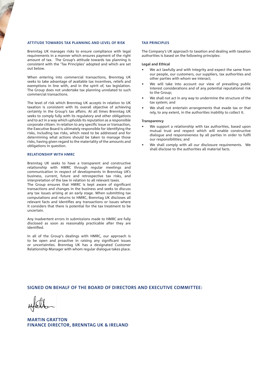#### **ATTITUDE TOWARDS TAX PLANNING AND LEVEL OF RISK**

Brenntag UK manages risks to ensure compliance with legal requirements in a manner which ensures payment of the right amount of tax. The Group's attitude towards tax planning is consistent with the 'Tax Principles' adopted and which are set out below.

When entering into commercial transactions, Brenntag UK seeks to take advantage of available tax incentives, reliefs and exemptions in line with, and in the spirit of, tax legislation. The Group does not undertake tax planning unrelated to such commercial transactions.

The level of risk which Brenntag UK accepts in relation to UK taxation is consistent with its overall objective of achieving certainty in the Group's tax affairs. At all times Brenntag UK seeks to comply fully with its regulatory and other obligations and to act in a way which upholds its reputation as a responsible corporate citizen. In relation to any specific issue or transaction, the Executive Board is ultimately responsible for identifying the risks, including tax risks, which need to be addressed and for determining what actions should be taken to manage those risks, having given regard to the materiality of the amounts and obligations in question.

#### **RELATIONSHIP WITH HMRC**

Brenntag UK seeks to have a transparent and constructive relationship with HMRC through regular meetings and communication in respect of developments in Brenntag UK's business, current, future and retrospective tax risks, and interpretation of the law in relation to all relevant taxes.

The Group ensures that HMRC is kept aware of significant transactions and changes in the business and seeks to discuss any tax issues arising at an early stage. When submitting tax computations and returns to HMRC, Brenntag UK discloses all relevant facts and identifies any transactions or issues where it considers that there is potential for the tax treatment to be uncertain.

Any inadvertent errors in submissions made to HMRC are fully disclosed as soon as reasonably practicable after they are identified.

In all of the Group's dealings with HMRC, our approach is to be open and proactive in raising any significant issues or uncertainties. Brenntag UK has a designated Customer Relationship Manager with whom regular dialogue takes place.

#### **TAX PRINCIPLES**

The Company's UK approach to taxation and dealing with taxation authorities is based on the following principles:

#### **Legal and Ethical**

- We act lawfully and with integrity and expect the same from our people, our customers, our suppliers, tax authorities and other parties with whom we interact;
- We will take into account our view of prevailing public interest considerations and of any potential reputational risk to the Group;
- We shall not act in any way to undermine the structure of the tax system; and
- We shall not entertain arrangements that evade tax or that rely, to any extent, in the authorities inability to collect it.

#### **Transparency**

- We support a relationship with tax authorities, based upon mutual trust and respect which will enable constructive dialogue and responsiveness by all parties in order to fulfil our responsibilities; and
- We shall comply with all our disclosure requirements. We shall disclose to the authorities all material facts.

# **SIGNED ON BEHALF OF THE BOARD OF DIRECTORS AND EXECUTIVE COMMITTEE:**

**MARTIN GRATTON FINANCE DIRECTOR, BRENNTAG UK & IRELAND**